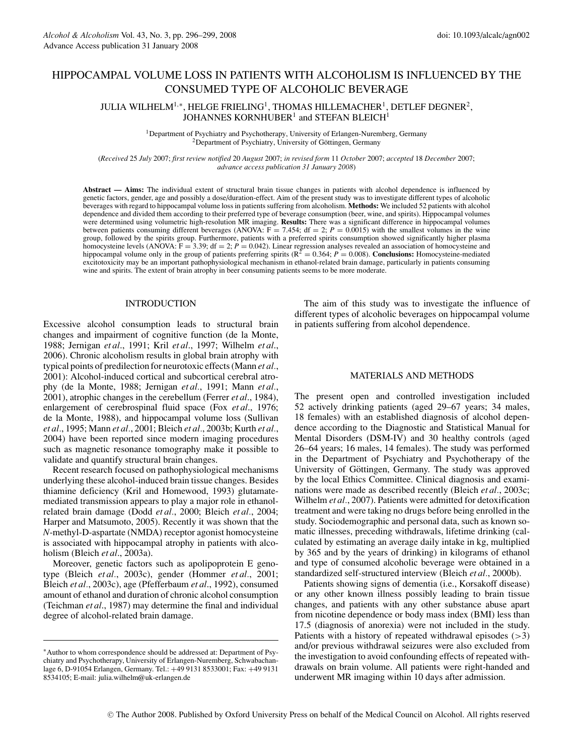# HIPPOCAMPAL VOLUME LOSS IN PATIENTS WITH ALCOHOLISM IS INFLUENCED BY THE CONSUMED TYPE OF ALCOHOLIC BEVERAGE

JULIA WILHELM1*,*∗, HELGE FRIELING1, THOMAS HILLEMACHER1, DETLEF DEGNER2, JOHANNES KORNHUBER<sup>1</sup> and STEFAN BLEICH<sup>1</sup>

<sup>1</sup>Department of Psychiatry and Psychotherapy, University of Erlangen-Nuremberg, Germany <sup>2</sup>Department of Psychiatry, University of Göttingen, Germany

(*Received* 25 *July* 2007; *first review notified* 20 *August* 2007; *in revised form* 11 *October* 2007; *accepted* 18 *December* 2007; *advance access publication 31 January 2008*)

**Abstract — Aims:** The individual extent of structural brain tissue changes in patients with alcohol dependence is influenced by genetic factors, gender, age and possibly a dose/duration-effect. Aim of the present study was to investigate different types of alcoholic beverages with regard to hippocampal volume loss in patients suffering from alcoholism. **Methods:** We included 52 patients with alcohol dependence and divided them according to their preferred type of beverage consumption (beer, wine, and spirits). Hippocampal volumes were determined using volumetric high-resolution MR imaging. **Results:** There was a significant difference in hippocampal volumes between patients consuming different beverages (ANOVA: F = 7.454; df = 2; *P* = 0.0015) with the smallest volumes in the wine group, followed by the spirits group. Furthermore, patients with a preferred spirits consumption showed significantly higher plasma homocysteine levels (ANOVA:  $F = 3.39$ ; df = 2;  $P = 0.042$ ). Linear regression analyses revealed an association of homocysteine and hippocampal volume only in the group of patients preferring spirits  $(R^2 = 0.364; P = 0.008)$ . **Conclusions:** Homocysteine-mediated excitotoxicity may be an important pathophysiological mechanism in ethanol-related brain damage, particularly in patients consuming wine and spirits. The extent of brain atrophy in beer consuming patients seems to be more moderate.

# INTRODUCTION

Excessive alcohol consumption leads to structural brain changes and impairment of cognitive function (de la Monte, 1988; Jernigan *et al*., 1991; Kril *et al*., 1997; Wilhelm *et al*., 2006). Chronic alcoholism results in global brain atrophy with typical points of predilection for neurotoxic effects (Mann *et al.*, 2001): Alcohol-induced cortical and subcortical cerebral atrophy (de la Monte, 1988; Jernigan *et al.*, 1991; Mann *et al.*, 2001), atrophic changes in the cerebellum (Ferrer *et al*., 1984), enlargement of cerebrospinal fluid space (Fox *et al*., 1976; de la Monte, 1988), and hippocampal volume loss (Sullivan *et al.*, 1995; Mann *et al.*, 2001; Bleich *et al.*, 2003b; Kurth *et al.*, 2004) have been reported since modern imaging procedures such as magnetic resonance tomography make it possible to validate and quantify structural brain changes.

Recent research focused on pathophysiological mechanisms underlying these alcohol-induced brain tissue changes. Besides thiamine deficiency (Kril and Homewood, 1993) glutamatemediated transmission appears to play a major role in ethanolrelated brain damage (Dodd *et al.*, 2000; Bleich *et al.*, 2004; Harper and Matsumoto, 2005). Recently it was shown that the *N*-methyl-D-aspartate (NMDA) receptor agonist homocysteine is associated with hippocampal atrophy in patients with alcoholism (Bleich *et al*., 2003a).

Moreover, genetic factors such as apolipoprotein E genotype (Bleich *et al.*, 2003c), gender (Hommer *et al.*, 2001; Bleich *et al.*, 2003c), age (Pfefferbaum *et al*., 1992), consumed amount of ethanol and duration of chronic alcohol consumption (Teichman *et al*., 1987) may determine the final and individual degree of alcohol-related brain damage.

The aim of this study was to investigate the influence of different types of alcoholic beverages on hippocampal volume in patients suffering from alcohol dependence.

# MATERIALS AND METHODS

The present open and controlled investigation included 52 actively drinking patients (aged 29–67 years; 34 males, 18 females) with an established diagnosis of alcohol dependence according to the Diagnostic and Statistical Manual for Mental Disorders (DSM-IV) and 30 healthy controls (aged 26–64 years; 16 males, 14 females). The study was performed in the Department of Psychiatry and Psychotherapy of the University of Göttingen, Germany. The study was approved by the local Ethics Committee. Clinical diagnosis and examinations were made as described recently (Bleich *et al.*, 2003c; Wilhelm *et al.*, 2007). Patients were admitted for detoxification treatment and were taking no drugs before being enrolled in the study. Sociodemographic and personal data, such as known somatic illnesses, preceding withdrawals, lifetime drinking (calculated by estimating an average daily intake in kg, multiplied by 365 and by the years of drinking) in kilograms of ethanol and type of consumed alcoholic beverage were obtained in a standardized self-structured interview (Bleich *et al.*, 2000b).

Patients showing signs of dementia (i.e., Korsakoff disease) or any other known illness possibly leading to brain tissue changes, and patients with any other substance abuse apart from nicotine dependence or body mass index (BMI) less than 17.5 (diagnosis of anorexia) were not included in the study. Patients with a history of repeated withdrawal episodes (*>*3) and/or previous withdrawal seizures were also excluded from the investigation to avoid confounding effects of repeated withdrawals on brain volume. All patients were right-handed and underwent MR imaging within 10 days after admission.

<sup>∗</sup>Author to whom correspondence should be addressed at: Department of Psychiatry and Psychotherapy, University of Erlangen-Nuremberg, Schwabachanlage 6, D-91054 Erlangen, Germany. Tel.: +49 9131 8533001; Fax: +49 9131 8534105; E-mail: julia.wilhelm@uk-erlangen.de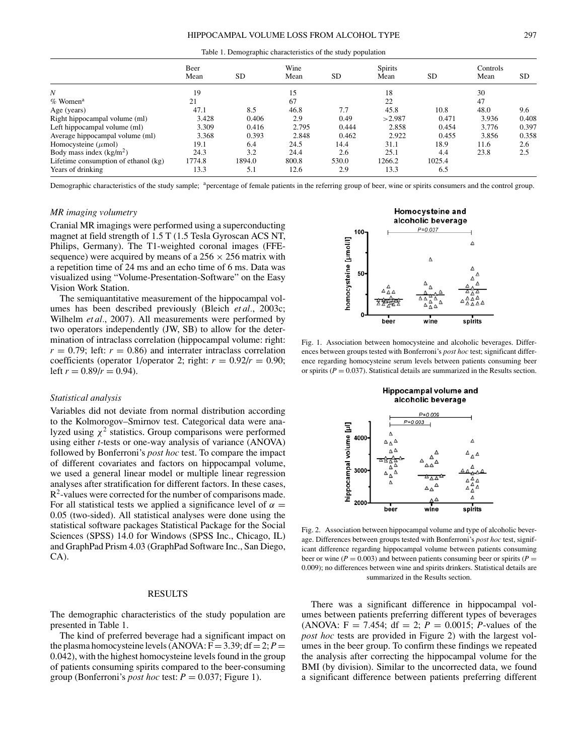| Table 1. Demographic characteristics of the study population |  |
|--------------------------------------------------------------|--|
|                                                              |  |

|                                      | Beer   |           | Wine  |           | <b>Spirits</b> |           | Controls |           |
|--------------------------------------|--------|-----------|-------|-----------|----------------|-----------|----------|-----------|
|                                      | Mean   | <b>SD</b> | Mean  | <b>SD</b> | Mean           | <b>SD</b> | Mean     | <b>SD</b> |
| N                                    | 19     |           | 15    |           | 18             |           | 30       |           |
| $%$ Women <sup>a</sup>               | 21     |           | 67    |           | 22             |           | 47       |           |
| Age (years)                          | 47.1   | 8.5       | 46.8  | 7.7       | 45.8           | 10.8      | 48.0     | 9.6       |
| Right hippocampal volume (ml)        | 3.428  | 0.406     | 2.9   | 0.49      | >2.987         | 0.471     | 3.936    | 0.408     |
| Left hippocampal volume (ml)         | 3.309  | 0.416     | 2.795 | 0.444     | 2.858          | 0.454     | 3.776    | 0.397     |
| Average hippocampal volume (ml)      | 3.368  | 0.393     | 2.848 | 0.462     | 2.922          | 0.455     | 3.856    | 0.358     |
| Homocysteine $(\mu$ mol)             | 19.1   | 6.4       | 24.5  | 14.4      | 31.1           | 18.9      | 11.6     | 2.6       |
| Body mass index $(kg/m2)$            | 24.3   | 3.2       | 24.4  | 2.6       | 25.1           | 4.4       | 23.8     | 2.5       |
| Lifetime consumption of ethanol (kg) | 1774.8 | 1894.0    | 800.8 | 530.0     | 1266.2         | 1025.4    |          |           |
| Years of drinking                    | 13.3   | 5.1       | 12.6  | 2.9       | 13.3           | 6.5       |          |           |

Demographic characteristics of the study sample; <sup>a</sup>percentage of female patients in the referring group of beer, wine or spirits consumers and the control group.

# *MR imaging volumetry*

Cranial MR imagings were performed using a superconducting magnet at field strength of 1.5 T (1.5 Tesla Gyroscan ACS NT, Philips, Germany). The T1-weighted coronal images (FFEsequence) were acquired by means of a  $256 \times 256$  matrix with a repetition time of 24 ms and an echo time of 6 ms. Data was visualized using "Volume-Presentation-Software" on the Easy Vision Work Station.

The semiquantitative measurement of the hippocampal volumes has been described previously (Bleich *et al.*, 2003c; Wilhelm *et al.*, 2007). All measurements were performed by two operators independently (JW, SB) to allow for the determination of intraclass correlation (hippocampal volume: right:  $r = 0.79$ ; left:  $r = 0.86$ ) and interrater intraclass correlation coefficients (operator 1/operator 2; right:  $r = 0.92/r = 0.90$ ; left  $r = 0.89/r = 0.94$ .

#### *Statistical analysis*

Variables did not deviate from normal distribution according to the Kolmorogov–Smirnov test. Categorical data were analyzed using  $\chi^2$  statistics. Group comparisons were performed using either *t*-tests or one-way analysis of variance (ANOVA) followed by Bonferroni's *post hoc* test. To compare the impact of different covariates and factors on hippocampal volume, we used a general linear model or multiple linear regression analyses after stratification for different factors. In these cases,  $R<sup>2</sup>$ -values were corrected for the number of comparisons made. For all statistical tests we applied a significance level of  $\alpha =$ 0.05 (two-sided). All statistical analyses were done using the statistical software packages Statistical Package for the Social Sciences (SPSS) 14.0 for Windows (SPSS Inc., Chicago, IL) and GraphPad Prism 4.03 (GraphPad Software Inc., San Diego, CA).

## RESULTS

The demographic characteristics of the study population are presented in Table 1.

The kind of preferred beverage had a significant impact on the plasma homocysteine levels (ANOVA:  $F = 3.39$ ; df = 2;  $P =$ 0.042), with the highest homocysteine levels found in the group of patients consuming spirits compared to the beer-consuming group (Bonferroni's *post hoc* test:  $P = 0.037$ ; Figure 1).



Fig. 1. Association between homocysteine and alcoholic beverages. Differences between groups tested with Bonferroni's *post hoc* test; significant difference regarding homocysteine serum levels between patients consuming beer or spirits  $(P = 0.037)$ . Statistical details are summarized in the Results section.



Fig. 2. Association between hippocampal volume and type of alcoholic beverage. Differences between groups tested with Bonferroni's *post hoc* test, significant difference regarding hippocampal volume between patients consuming beer or wine ( $P = 0.003$ ) and between patients consuming beer or spirits ( $P =$ 0.009); no differences between wine and spirits drinkers. Statistical details are summarized in the Results section.

There was a significant difference in hippocampal volumes between patients preferring different types of beverages (ANOVA:  $F = 7.454$ ; df = 2;  $P = 0.0015$ ; *P*-values of the *post hoc* tests are provided in Figure 2) with the largest volumes in the beer group. To confirm these findings we repeated the analysis after correcting the hippocampal volume for the BMI (by division). Similar to the uncorrected data, we found a significant difference between patients preferring different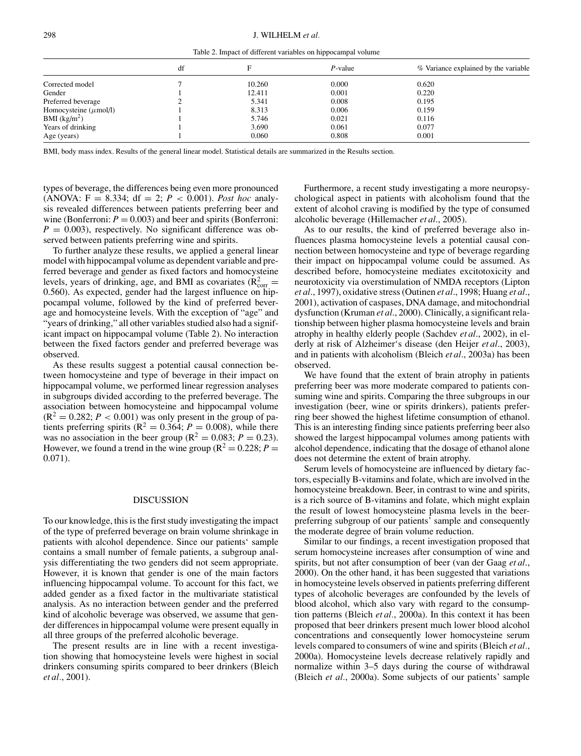Table 2. Impact of different variables on hippocampal volume

|                            | df |        | P-value | % Variance explained by the variable |  |  |
|----------------------------|----|--------|---------|--------------------------------------|--|--|
| Corrected model            |    | 10.260 | 0.000   | 0.620                                |  |  |
| Gender                     |    | 12.411 | 0.001   | 0.220                                |  |  |
| Preferred beverage         |    | 5.341  | 0.008   | 0.195                                |  |  |
| Homocysteine $(\mu$ mol/l) |    | 8.313  | 0.006   | 0.159                                |  |  |
| $BMI$ (kg/m <sup>2</sup> ) |    | 5.746  | 0.021   | 0.116                                |  |  |
| Years of drinking          |    | 3.690  | 0.061   | 0.077                                |  |  |
| Age (years)                |    | 0.060  | 0.808   | 0.001                                |  |  |

BMI, body mass index. Results of the general linear model. Statistical details are summarized in the Results section.

types of beverage, the differences being even more pronounced (ANOVA:  $F = 8.334$ ; df = 2;  $P < 0.001$ ). *Post hoc* analysis revealed differences between patients preferring beer and wine (Bonferroni:  $P = 0.003$ ) and beer and spirits (Bonferroni:  $P = 0.003$ , respectively. No significant difference was observed between patients preferring wine and spirits.

To further analyze these results, we applied a general linear model with hippocampal volume as dependent variable and preferred beverage and gender as fixed factors and homocysteine levels, years of drinking, age, and BMI as covariates  $(R_{\text{corr}}^2 =$ 0.560). As expected, gender had the largest influence on hippocampal volume, followed by the kind of preferred beverage and homocysteine levels. With the exception of "age" and "years of drinking," all other variables studied also had a significant impact on hippocampal volume (Table 2). No interaction between the fixed factors gender and preferred beverage was observed.

As these results suggest a potential causal connection between homocysteine and type of beverage in their impact on hippocampal volume, we performed linear regression analyses in subgroups divided according to the preferred beverage. The association between homocysteine and hippocampal volume  $(R^2 = 0.282; P < 0.001)$  was only present in the group of patients preferring spirits ( $R^2 = 0.364$ ;  $P = 0.008$ ), while there was no association in the beer group ( $R^2 = 0.083$ ;  $P = 0.23$ ). However, we found a trend in the wine group ( $R^2 = 0.228$ ;  $P =$ 0.071).

# DISCUSSION

To our knowledge, this is the first study investigating the impact of the type of preferred beverage on brain volume shrinkage in patients with alcohol dependence. Since our patients' sample contains a small number of female patients, a subgroup analysis differentiating the two genders did not seem appropriate. However, it is known that gender is one of the main factors influencing hippocampal volume. To account for this fact, we added gender as a fixed factor in the multivariate statistical analysis. As no interaction between gender and the preferred kind of alcoholic beverage was observed, we assume that gender differences in hippocampal volume were present equally in all three groups of the preferred alcoholic beverage.

The present results are in line with a recent investigation showing that homocysteine levels were highest in social drinkers consuming spirits compared to beer drinkers (Bleich *et al.*, 2001).

Furthermore, a recent study investigating a more neuropsychological aspect in patients with alcoholism found that the extent of alcohol craving is modified by the type of consumed alcoholic beverage (Hillemacher *et al*., 2005).

As to our results, the kind of preferred beverage also influences plasma homocysteine levels a potential causal connection between homocysteine and type of beverage regarding their impact on hippocampal volume could be assumed. As described before, homocysteine mediates excitotoxicity and neurotoxicity via overstimulation of NMDA receptors (Lipton *et al*., 1997), oxidative stress (Outinen *et al*., 1998; Huang *et al*., 2001), activation of caspases, DNA damage, and mitochondrial dysfunction (Kruman *et al*., 2000). Clinically, a significant relationship between higher plasma homocysteine levels and brain atrophy in healthy elderly people (Sachdev *et al*., 2002), in elderly at risk of Alzheimer's disease (den Heijer *et al*., 2003), and in patients with alcoholism (Bleich *et al*., 2003a) has been observed.

We have found that the extent of brain atrophy in patients preferring beer was more moderate compared to patients consuming wine and spirits. Comparing the three subgroups in our investigation (beer, wine or spirits drinkers), patients preferring beer showed the highest lifetime consumption of ethanol. This is an interesting finding since patients preferring beer also showed the largest hippocampal volumes among patients with alcohol dependence, indicating that the dosage of ethanol alone does not determine the extent of brain atrophy.

Serum levels of homocysteine are influenced by dietary factors, especially B-vitamins and folate, which are involved in the homocysteine breakdown. Beer, in contrast to wine and spirits, is a rich source of B-vitamins and folate, which might explain the result of lowest homocysteine plasma levels in the beerpreferring subgroup of our patients' sample and consequently the moderate degree of brain volume reduction.

Similar to our findings, a recent investigation proposed that serum homocysteine increases after consumption of wine and spirits, but not after consumption of beer (van der Gaag *et al*., 2000). On the other hand, it has been suggested that variations in homocysteine levels observed in patients preferring different types of alcoholic beverages are confounded by the levels of blood alcohol, which also vary with regard to the consumption patterns (Bleich *et al.*, 2000a). In this context it has been proposed that beer drinkers present much lower blood alcohol concentrations and consequently lower homocysteine serum levels compared to consumers of wine and spirits (Bleich *et al.*, 2000a). Homocysteine levels decrease relatively rapidly and normalize within 3–5 days during the course of withdrawal (Bleich *et al.*, 2000a). Some subjects of our patients' sample